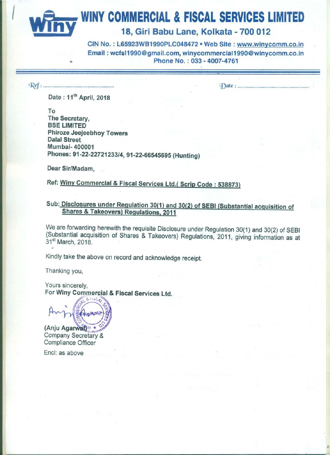**INGLESSIVE WINY COMMERCIAL & FISCAL SERVICES LIMITED** 

18, Giri Babu Lane, Kolkata - 700 012

WINY COMMERCIAL & FISCAL SER<br>18, Giri Babu Lane, Kolkata -<br>Email : wcfsl1990@gmail.com, winycommercial1 CIN No.: L65923WB1990PLC048472 . Web Site: www.winycomm.co.in Email: wcfsl1990@gmail.com, winycommercial1990@winycomm.co.in **In the Contract of the Contract of the Phone No. : 033 - 4007-4761** 

M: ......................

(Date: ...............................................

Date: 11<sup>th</sup> April, 2018

To The Secretary, BSE LIMITED Phiroze Jeejeebhoy Towers Dalal Street Mumbai- 400001 <sup>1</sup> Phones: 91-22-22721233/4, 91-22-66545695 (Hunting)

Dear Sir/Madam,

Ref: Winy Commercial & Fiscal Services Ltd.( Scrip Code : 538873)

# Sub: Disclosures under Regulation 30(1) and 30(2) of SEBI (Substantial acquisition of Shares & Takeovers) Regulations, 2011

We are forwarding herewith the requisite Disclosure under Regulation 30(1) and 30(2) of SEBI ) (Substantial acquisition of Shares & Takeovers) Regulations, 2011, giving information as at 31st March, 2018. '

Kindly take the above on record and acknowledge receipt.

Thanking you,

Yours sincerely,<br>For Winy Commercial & Fiscal Services Ltd.

EKOMALE

(Anju Agarwat)<sup>M</sup> ★ Company Secretary & Compliance Officer

Encl: as above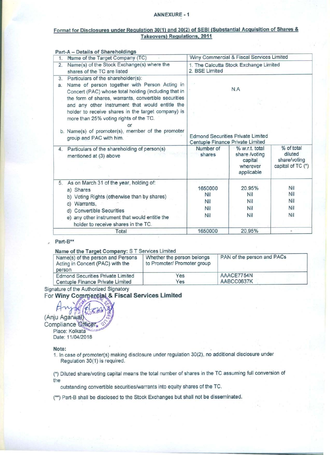#### ANNEXURE - 1

### Format for Disclosures under Regulation 30(1) and 30(2) of SEBI (Substantial Acquisition of Shares & Takeovers) Regulations, 2011

| 1.       | Name of the Target Company (TC)                                                                                                                                                                                                                                                                                                                                                                                                              | Winy Commercial & Fiscal Services Limited                                           |                                                                      |                                                            |  |
|----------|----------------------------------------------------------------------------------------------------------------------------------------------------------------------------------------------------------------------------------------------------------------------------------------------------------------------------------------------------------------------------------------------------------------------------------------------|-------------------------------------------------------------------------------------|----------------------------------------------------------------------|------------------------------------------------------------|--|
| 2.       | Name(s) of the Stock Exchange(s) where the<br>shares of the TC are listed                                                                                                                                                                                                                                                                                                                                                                    | 1. The Calcutta Stock Exchange Limited<br>2. BSE Limited                            |                                                                      |                                                            |  |
| 3.<br>a. | Particulars of the shareholder(s):<br>Name of person together with Person Acting in<br>Concert (PAC) whose total holding (including that in<br>the form of shares, warrants, convertible securities<br>and any other instrument that would entitle the<br>holder to receive shares in the target company) is<br>more than 25% voting rights of the TC.<br>or<br>b. Name(s) of promoter(s), member of the promoter<br>group and PAC with him. | N.A<br><b>Edmond Securities Private Limited</b><br>Centuple Finance Private Limited |                                                                      |                                                            |  |
| 4.       | Particulars of the shareholding of person(s)<br>mentioned at (3) above                                                                                                                                                                                                                                                                                                                                                                       | Number of<br>shares                                                                 | % w.r.t. total<br>share /voting<br>capital<br>wherever<br>applicable | % of total<br>diluted<br>share/voting<br>capital of TC (*) |  |
| 5.       | As on March 31 of the year, holding of:<br>a) Shares<br>b) Voting Rights (otherwise than by shares)<br>c) Warrants.<br><b>Convertible Securities</b><br>d)<br>e) any other instrument that would entitle the<br>holder to receive shares in the TC.                                                                                                                                                                                          | 1650000<br><b>Nil</b><br>Nil<br><b>Nil</b><br>Nil                                   | 20.95%<br>Nil<br>Nil<br>Nil<br>Nil                                   | Nil<br>Nil<br>Nil<br>Nil<br>Nil                            |  |
|          | Total                                                                                                                                                                                                                                                                                                                                                                                                                                        | 1650000                                                                             | 20.95%                                                               | $\qquad \qquad \blacksquare$                               |  |

#### Part-B\*\*

#### Name of the Target Company: 8 <sup>T</sup> Services Limited

| Name(s) of the person and Persons<br>Acting in Concert (PAC) with the<br>person | Whether the person belongs<br>to Promoter/ Promoter group | PAN of the person and PACs |
|---------------------------------------------------------------------------------|-----------------------------------------------------------|----------------------------|
| <b>Edmond Securities Private Limited</b>                                        | Yes                                                       | AAACE7754N                 |
| Centuple Finance Private Limited                                                | Yes                                                       | AABCC0637K                 |

Signature of the Authorized Signatory

For Winy Commercial & Fiscal Services Limited

(Anju Agarwal) Compliance Officer. Place: Kolkata Date: 11/04/2018

#### Note:

1. In case of promoter(s) making disclosure under regulation 30(2), no additional disclosure under Regulation 30(1) is required.

(\*) Diluted share/voting capital means the total number of shares in the TC assuming full conversion of the

outstanding convertible securities/warrants into equity shares of the TC.

(\*\*) Part-B shall be disclosed to the Stock Exchanges but shall not be disseminated.